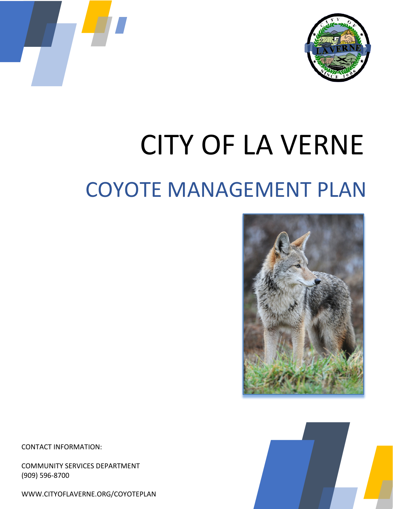



# CITY OF LA VERNE COYOTE MANAGEMENT PLAN





CONTACT INFORMATION:

COMMUNITY SERVICES DEPARTMENT (909) 596-8700

[WWW.CITYOFLAVERNE.ORG/COYOTEPLAN](http://www.cityoflaverne.org/COYOTEPLAN)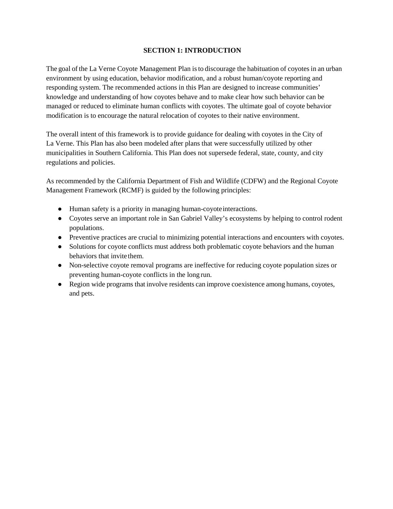#### **SECTION 1: INTRODUCTION**

The goal of the La Verne Coyote Management Plan isto discourage the habituation of coyotes in an urban environment by using education, behavior modification, and a robust human/coyote reporting and responding system. The recommended actions in this Plan are designed to increase communities' knowledge and understanding of how coyotes behave and to make clear how such behavior can be managed or reduced to eliminate human conflicts with coyotes. The ultimate goal of coyote behavior modification is to encourage the natural relocation of coyotes to their native environment.

The overall intent of this framework is to provide guidance for dealing with coyotes in the City of La Verne. This Plan has also been modeled after plans that were successfully utilized by other municipalities in Southern California. This Plan does not supersede federal, state, county, and city regulations and policies.

As recommended by the California Department of Fish and Wildlife (CDFW) and the Regional Coyote Management Framework (RCMF) is guided by the following principles:

- Human safety is a priority in managing human-coyoteinteractions.
- Coyotes serve an important role in San Gabriel Valley's ecosystems by helping to control rodent populations.
- Preventive practices are crucial to minimizing potential interactions and encounters with coyotes.
- Solutions for coyote conflicts must address both problematic coyote behaviors and the human behaviors that invite them.
- Non-selective coyote removal programs are ineffective for reducing coyote population sizes or preventing human-coyote conflicts in the long run.
- Region wide programs that involve residents can improve coexistence among humans, coyotes, and pets.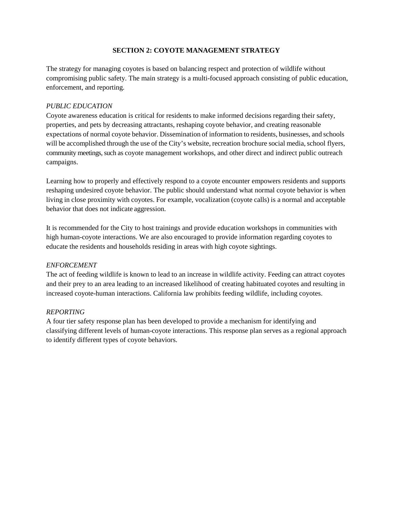#### **SECTION 2: COYOTE MANAGEMENT STRATEGY**

The strategy for managing coyotes is based on balancing respect and protection of wildlife without compromising public safety. The main strategy is a multi-focused approach consisting of public education, enforcement, and reporting.

#### *PUBLIC EDUCATION*

Coyote awareness education is critical for residents to make informed decisions regarding their safety, properties, and pets by decreasing attractants, reshaping coyote behavior, and creating reasonable expectations of normal coyote behavior. Dissemination of information to residents, businesses, and schools will be accomplished through the use of the City's website, recreation brochure social media, school flyers, community meetings, such as coyote management workshops, and other direct and indirect public outreach campaigns.

Learning how to properly and effectively respond to a coyote encounter empowers residents and supports reshaping undesired coyote behavior. The public should understand what normal coyote behavior is when living in close proximity with coyotes. For example, vocalization (coyote calls) is a normal and acceptable behavior that does not indicate aggression.

It is recommended for the City to host trainings and provide education workshops in communities with high human-coyote interactions. We are also encouraged to provide information regarding coyotes to educate the residents and households residing in areas with high coyote sightings.

## *ENFORCEMENT*

The act of feeding wildlife is known to lead to an increase in wildlife activity. Feeding can attract coyotes and their prey to an area leading to an increased likelihood of creating habituated coyotes and resulting in increased coyote-human interactions. California law prohibits feeding wildlife, including coyotes.

#### *REPORTING*

A four tier safety response plan has been developed to provide a mechanism for identifying and classifying different levels of human-coyote interactions. This response plan serves as a regional approach to identify different types of coyote behaviors.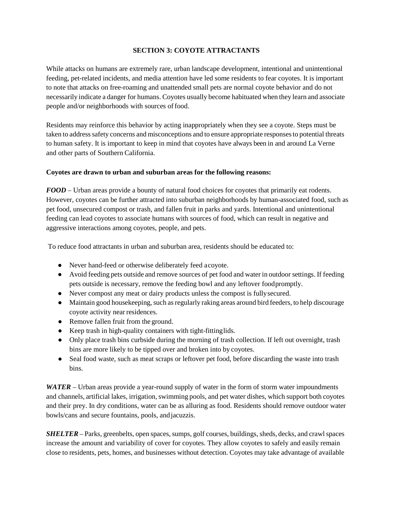#### **SECTION 3: COYOTE ATTRACTANTS**

While attacks on humans are extremely rare, urban landscape development, intentional and unintentional feeding, pet-related incidents, and media attention have led some residents to fear coyotes. It is important to note that attacks on free-roaming and unattended small pets are normal coyote behavior and do not necessarily indicate a danger for humans. Coyotes usually become habituated when they learn and associate people and/or neighborhoods with sources of food.

Residents may reinforce this behavior by acting inappropriately when they see a coyote. Steps must be taken to address safety concerns and misconceptions and to ensure appropriate responses to potential threats to human safety. It is important to keep in mind that coyotes have always been in and around La Verne and other parts of Southern California.

#### **Coyotes are drawn to urban and suburban areas for the following reasons:**

*FOOD* – Urban areas provide a bounty of natural food choices for coyotes that primarily eat rodents. However, coyotes can be further attracted into suburban neighborhoods by human-associated food, such as pet food, unsecured compost or trash, and fallen fruit in parks and yards. Intentional and unintentional feeding can lead coyotes to associate humans with sources of food, which can result in negative and aggressive interactions among coyotes, people, and pets.

To reduce food attractants in urban and suburban area, residents should be educated to:

- Never hand-feed or otherwise deliberately feed acoyote.
- Avoid feeding pets outside and remove sources of pet food and water in outdoor settings. If feeding pets outside is necessary, remove the feeding bowl and any leftover foodpromptly.
- Never compost any meat or dairy products unless the compost is fullysecured.
- Maintain good housekeeping, such as regularly raking areas around bird feeders, to help discourage coyote activity near residences.
- Remove fallen fruit from the ground.
- Keep trash in high-quality containers with tight-fittinglids.
- Only place trash bins curbside during the morning of trash collection. If left out overnight, trash bins are more likely to be tipped over and broken into by coyotes.
- Seal food waste, such as meat scraps or leftover pet food, before discarding the waste into trash bins.

*WATER* – Urban areas provide a year-round supply of water in the form of storm water impoundments and channels, artificial lakes, irrigation, swimming pools, and pet water dishes, which support both coyotes and their prey. In dry conditions, water can be as alluring as food. Residents should remove outdoor water bowls/cans and secure fountains, pools, andjacuzzis.

*SHELTER* – Parks, greenbelts, open spaces, sumps, golf courses, buildings, sheds, decks, and crawl spaces increase the amount and variability of cover for coyotes. They allow coyotes to safely and easily remain close to residents, pets, homes, and businesses without detection. Coyotes may take advantage of available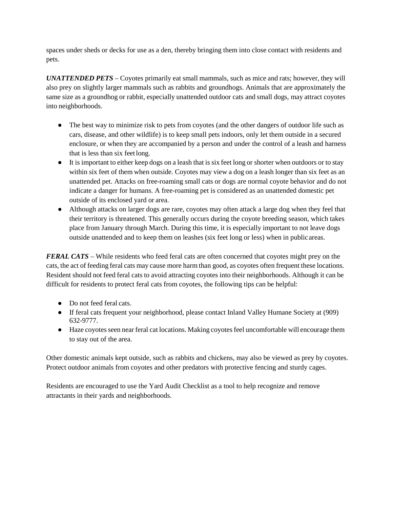spaces under sheds or decks for use as a den, thereby bringing them into close contact with residents and pets.

*UNATTENDED PETS* – Coyotes primarily eat small mammals, such as mice and rats; however, they will also prey on slightly larger mammals such as rabbits and groundhogs. Animals that are approximately the same size as a groundhog or rabbit, especially unattended outdoor cats and small dogs, may attract coyotes into neighborhoods.

- The best way to minimize risk to pets from covotes (and the other dangers of outdoor life such as cars, disease, and other wildlife) is to keep small pets indoors, only let them outside in a secured enclosure, or when they are accompanied by a person and under the control of a leash and harness that is less than six feetlong.
- It is important to either keep dogs on a leash that is six feet long or shorter when outdoors or to stay within six feet of them when outside. Coyotes may view a dog on a leash longer than six feet as an unattended pet. Attacks on free-roaming small cats or dogs are normal coyote behavior and do not indicate a danger for humans. A free-roaming pet is considered as an unattended domestic pet outside of its enclosed yard or area.
- Although attacks on larger dogs are rare, coyotes may often attack a large dog when they feel that their territory is threatened. This generally occurs during the coyote breeding season, which takes place from January through March. During this time, it is especially important to not leave dogs outside unattended and to keep them on leashes (six feet long or less) when in publicareas.

*FERAL CATS* – While residents who feed feral cats are often concerned that coyotes might prey on the cats, the act of feeding feral cats may cause more harm than good, as coyotes often frequent these locations. Resident should not feed feral cats to avoid attracting coyotes into their neighborhoods. Although it can be difficult for residents to protect feral cats from coyotes, the following tips can be helpful:

- Do not feed feral cats.
- If feral cats frequent your neighborhood, please contact Inland Valley Humane Society at (909) 632-9777.
- Haze coyotes seen near feral cat locations. Making coyotes feel uncomfortable will encourage them to stay out of the area.

Other domestic animals kept outside, such as rabbits and chickens, may also be viewed as prey by coyotes. Protect outdoor animals from coyotes and other predators with protective fencing and sturdy cages.

Residents are encouraged to use the Yard Audit Checklist as a tool to help recognize and remove attractants in their yards and neighborhoods.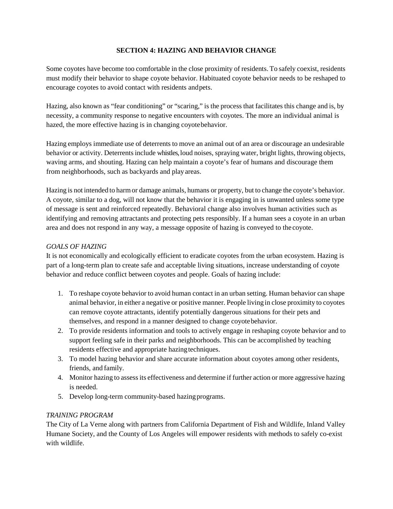#### **SECTION 4: HAZING AND BEHAVIOR CHANGE**

Some coyotes have become too comfortable in the close proximity of residents. To safely coexist, residents must modify their behavior to shape coyote behavior. Habituated coyote behavior needs to be reshaped to encourage coyotes to avoid contact with residents andpets.

Hazing, also known as "fear conditioning" or "scaring," is the process that facilitates this change and is, by necessity, a community response to negative encounters with coyotes. The more an individual animal is hazed, the more effective hazing is in changing coyotebehavior.

Hazing employs immediate use of deterrents to move an animal out of an area or discourage an undesirable behavior or activity. Deterrentsinclude whistles,loud noises, spraying water, bright lights, throwing objects, waving arms, and shouting. Hazing can help maintain a coyote's fear of humans and discourage them from neighborhoods, such as backyards and play areas.

Hazing is not intended to harmor damage animals, humans or property, but to change the coyote's behavior. A coyote, similar to a dog, will not know that the behavior it is engaging in is unwanted unless some type of message is sent and reinforced repeatedly. Behavioral change also involves human activities such as identifying and removing attractants and protecting pets responsibly. If a human sees a coyote in an urban area and does not respond in any way, a message opposite of hazing is conveyed to the coyote.

#### *GOALS OF HAZING*

It is not economically and ecologically efficient to eradicate coyotes from the urban ecosystem. Hazing is part of a long-term plan to create safe and acceptable living situations, increase understanding of coyote behavior and reduce conflict between coyotes and people. Goals of hazing include:

- 1. To reshape coyote behavior to avoid human contact in an urban setting. Human behavior can shape animal behavior, in either a negative or positive manner. People living in close proximity to coyotes can remove coyote attractants, identify potentially dangerous situations for their pets and themselves, and respond in a manner designed to change coyotebehavior.
- 2. To provide residents information and tools to actively engage in reshaping coyote behavior and to support feeling safe in their parks and neighborhoods. This can be accomplished by teaching residents effective and appropriate hazing techniques.
- 3. To model hazing behavior and share accurate information about coyotes among other residents, friends, and family.
- 4. Monitor hazing to assessits effectiveness and determine if further action or more aggressive hazing is needed.
- 5. Develop long-term community-based hazing programs.

## *TRAINING PROGRAM*

The City of La Verne along with partners from California Department of Fish and Wildlife, Inland Valley Humane Society, and the County of Los Angeles will empower residents with methods to safely co-exist with wildlife.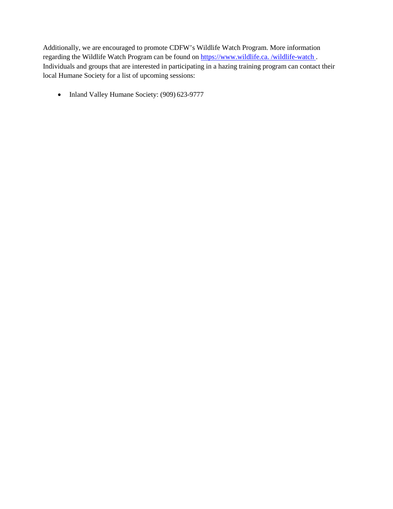Additionally, we are encouraged to promote CDFW's Wildlife Watch Program. More information regarding the Wildlife Watch Program can be found on https:[//www.wildlife.ca. /wildlife-watch .](http://www.wildlife.ca./wildlife-watch) Individuals and groups that are interested in participating in a hazing training program can contact their local Humane Society for a list of upcoming sessions:

• Inland Valley Humane Society: (909) 623-9777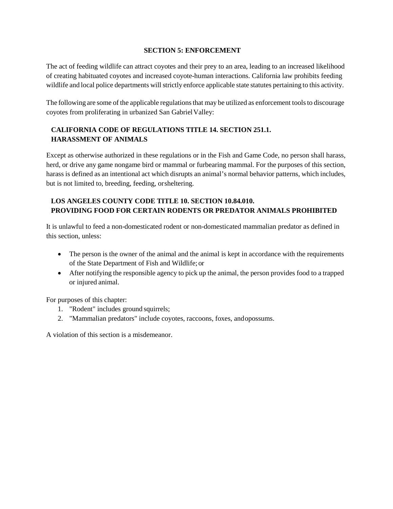#### **SECTION 5: ENFORCEMENT**

The act of feeding wildlife can attract coyotes and their prey to an area, leading to an increased likelihood of creating habituated coyotes and increased coyote-human interactions. California law prohibits feeding wildlife and local police departments will strictly enforce applicable state statutes pertaining to this activity.

The following are some of the applicable regulations that may be utilized as enforcement tools to discourage coyotes from proliferating in urbanized San GabrielValley:

# **CALIFORNIA CODE OF REGULATIONS TITLE 14. SECTION 251.1. HARASSMENT OF ANIMALS**

Except as otherwise authorized in these regulations or in the Fish and Game Code, no person shall harass, herd, or drive any game nongame bird or mammal or furbearing mammal. For the purposes of this section, harass is defined as an intentional act which disrupts an animal's normal behavior patterns, which includes, but is not limited to, breeding, feeding, orsheltering.

# **LOS ANGELES COUNTY CODE TITLE 10. SECTION 10.84.010. PROVIDING FOOD FOR CERTAIN RODENTS OR PREDATOR ANIMALS PROHIBITED**

It is unlawful to feed a non-domesticated rodent or non-domesticated mammalian predator as defined in this section, unless:

- The person is the owner of the animal and the animal is kept in accordance with the requirements of the State Department of Fish and Wildlife; or
- After notifying the responsible agency to pick up the animal, the person provides food to a trapped or injured animal.

For purposes of this chapter:

- 1. "Rodent" includes ground squirrels;
- 2. "Mammalian predators" include coyotes, raccoons, foxes, andopossums.

A violation of this section is a misdemeanor.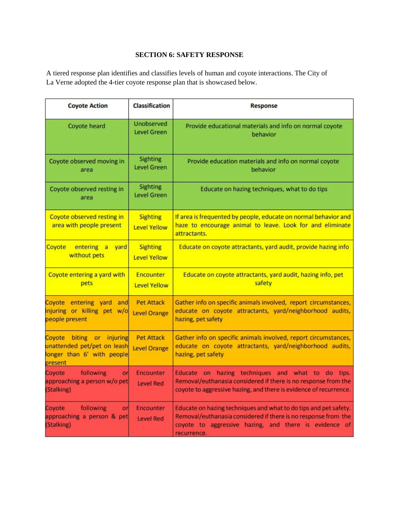#### **SECTION 6: SAFETY RESPONSE**

A tiered response plan identifies and classifies levels of human and coyote interactions. The City of La Verne adopted the 4-tier coyote response plan that is showcased below.

| <b>Coyote Action</b>                                                                                                                            | <b>Classification</b>                    | <b>Response</b>                                                                                                                                                                                           |  |
|-------------------------------------------------------------------------------------------------------------------------------------------------|------------------------------------------|-----------------------------------------------------------------------------------------------------------------------------------------------------------------------------------------------------------|--|
| Coyote heard                                                                                                                                    | Unobserved<br><b>Level Green</b>         | Provide educational materials and info on normal coyote<br>behavior                                                                                                                                       |  |
| Coyote observed moving in<br>area                                                                                                               | Sighting<br><b>Level Green</b>           | Provide education materials and info on normal coyote<br>behavior                                                                                                                                         |  |
| Coyote observed resting in<br>area                                                                                                              | Sighting<br><b>Level Green</b>           | Educate on hazing techniques, what to do tips                                                                                                                                                             |  |
| Coyote observed resting in<br>area with people present                                                                                          | <b>Sighting</b><br><b>Level Yellow</b>   | If area is frequented by people, educate on normal behavior and<br>haze to encourage animal to leave. Look for and eliminate<br>attractants.                                                              |  |
| Coyote<br>entering a<br>yard<br>without pets                                                                                                    | <b>Sighting</b><br><b>Level Yellow</b>   | Educate on coyote attractants, yard audit, provide hazing info                                                                                                                                            |  |
| Coyote entering a yard with<br>pets                                                                                                             | Encounter<br><b>Level Yellow</b>         | Educate on coyote attractants, yard audit, hazing info, pet<br>safety                                                                                                                                     |  |
| Coyote entering yard and<br>injuring or killing pet w/o<br>people present                                                                       | <b>Pet Attack</b><br><b>Level Orange</b> | Gather info on specific animals involved, report circumstances,<br>educate on coyote attractants, yard/neighborhood audits,<br>hazing, pet safety                                                         |  |
| biting or injuring<br><b>Pet Attack</b><br>Coyote<br>unattended pet/pet on leash<br><b>Level Orange</b><br>onger than 6' with people<br>present |                                          | Gather info on specific animals involved, report circumstances,<br>educate on coyote attractants, yard/neighborhood audits,<br>hazing, pet safety                                                         |  |
| Coyote<br>following<br>or<br>approaching a person w/o pet<br>(Stalking)                                                                         | <b>Encounter</b><br><b>Level Red</b>     | Educate on hazing techniques and what to do tips.<br>Removal/euthanasia considered if there is no response from the<br>coyote to aggressive hazing, and there is evidence of recurrence.                  |  |
| Coyote<br>following<br>or<br>approaching a person & pet<br>(Stalking)                                                                           | <b>Encounter</b><br><b>Level Red</b>     | Educate on hazing techniques and what to do tips and pet safety.<br>Removal/euthanasia considered if there is no response from the<br>coyote to aggressive hazing, and there is evidence of<br>recurrence |  |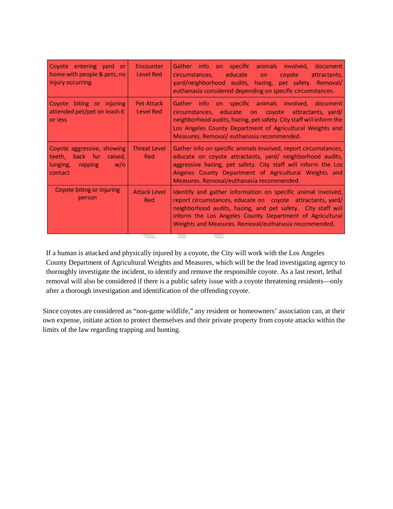| Coyote entering yard or<br>home with people & pets, no<br>injury occurring                        | Encounter<br>Level Red         | Gather info on specific animals involved, document<br>educate on<br>circumstances,<br>coyote<br>attractants,<br>yard/neighborhood audits, hazing, pet safety. Removal/<br>euthanasia considered depending on specific circumstances.                                                                            |
|---------------------------------------------------------------------------------------------------|--------------------------------|-----------------------------------------------------------------------------------------------------------------------------------------------------------------------------------------------------------------------------------------------------------------------------------------------------------------|
| Coyote biting or injuring<br>attended pet/pet on leash 6'<br>or less                              | Pet Attack<br><b>Level Red</b> | Gather info on specific animals involved, document<br>circumstances, educate on coyote attractants, yard/<br>neighborhood audits, hazing, pet safety. City staff will inform the<br>Los Angeles County Department of Agricultural Weights and<br>Measures. Removal/euthanasia recommended.                      |
| Coyote aggressive, showing<br>back fur raised.<br>teeth,<br>lunging,<br>nipping<br>w/o<br>contact | <b>Threat Level</b><br>Red     | Gather info on specific animals involved, report circumstances,<br>educate on coyote attractants, yard/ neighborhood audits,<br>aggressive hazing, pet safety. City staff will inform the Los<br>Angeles County Department of Agricultural Weights and<br>Measures. Removal/euthanasia recommended.             |
| Coyote biting or injuring<br>person                                                               | <b>Attack Level</b><br>Red     | Identify and gather information on specific animal involved,<br>report circumstances, educate on coyote attractants, yard/<br>neighborhood audits, hazing, and pet safety. City staff will<br>inform the Los Angeles County Department of Agricultural<br>Weights and Measures. Removal/euthanasia recommended. |

If a human is attacked and physically injured by a coyote, the City will work with the Los Angeles County Department of Agricultural Weights and Measures, which will be the lead investigating agency to thoroughly investigate the incident, to identify and remove the responsible coyote. As a last resort, lethal removal will also be considered if there is a public safety issue with a coyote threatening residents—only after a thorough investigation and identification of the offending coyote.

Since coyotes are considered as "non-game wildlife," any resident or homeowners' association can, at their own expense, initiate action to protect themselves and their private property from coyote attacks within the limits of the law regarding trapping and hunting.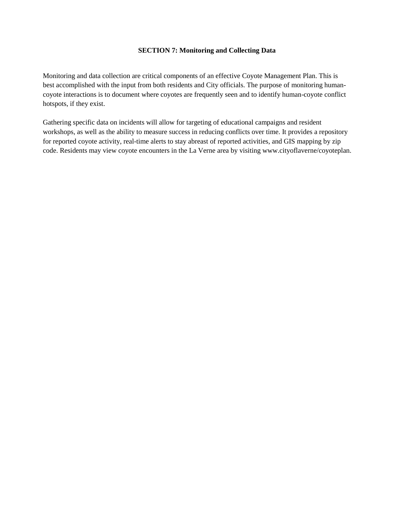#### **SECTION 7: Monitoring and Collecting Data**

Monitoring and data collection are critical components of an effective Coyote Management Plan. This is best accomplished with the input from both residents and City officials. The purpose of monitoring humancoyote interactions is to document where coyotes are frequently seen and to identify human-coyote conflict hotspots, if they exist.

Gathering specific data on incidents will allow for targeting of educational campaigns and resident workshops, as well as the ability to measure success in reducing conflicts over time. It provides a repository for reported coyote activity, real-time alerts to stay abreast of reported activities, and GIS mapping by zip code. Residents may view coyote encounters in the La Verne area by visiting www.cityoflaverne/coyoteplan.